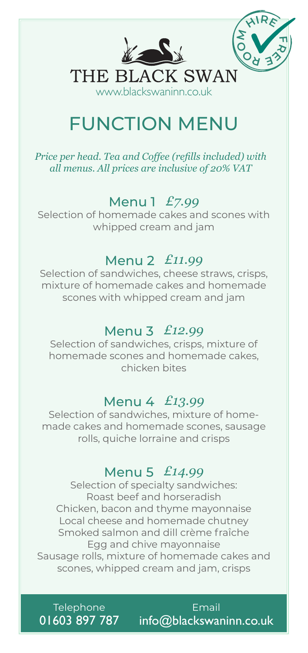

# FUNCTION MENU

*Price per head. Tea and Coffee (refills included) with all menus. All prices are inclusive of 20% VAT*

# Menu 1 *£7.99*

Selection of homemade cakes and scones with whipped cream and jam

#### Menu 2 *£11.99*

Selection of sandwiches, cheese straws, crisps, mixture of homemade cakes and homemade scones with whipped cream and jam

### Menu 3 *£12.99*

Selection of sandwiches, crisps, mixture of homemade scones and homemade cakes, chicken bites

#### Menu 4 *£13.99*

Selection of sandwiches, mixture of homemade cakes and homemade scones, sausage rolls, quiche lorraine and crisps

#### Menu 5 *£14.99*

Selection of specialty sandwiches: Roast beef and horseradish Chicken, bacon and thyme mayonnaise Local cheese and homemade chutney Smoked salmon and dill crème fraÎche Egg and chive mayonnaise Sausage rolls, mixture of homemade cakes and scones, whipped cream and jam, crisps

**Telephone** 01603 897 787

Email info@blackswaninn.co.uk